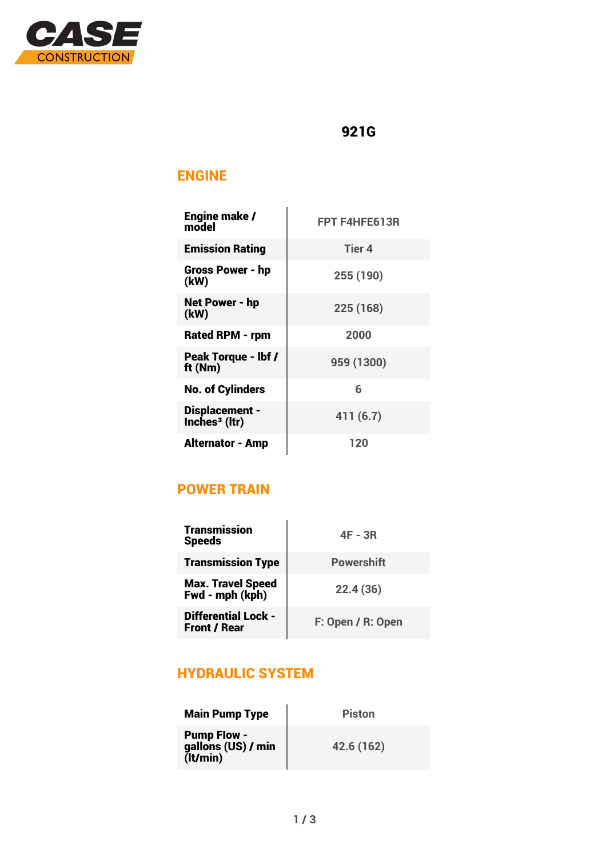

## 921G

# ENGINE

| Engine make /<br>model                          | <b>FPT F4HFE613R</b> |
|-------------------------------------------------|----------------------|
| <b>Emission Rating</b>                          | Tier 4               |
| Gross Power - hp<br>(kW)                        | 255 (190)            |
| Net Power - hp<br>(kW)                          | 225 (168)            |
| Rated RPM - rpm                                 | 2000                 |
| Peak Torque - Ibf /<br>ft (Nm)                  | 959 (1300)           |
| <b>No. of Cylinders</b>                         | 6                    |
| Displacement -<br>Inches <sup>3</sup> ( $I$ tr) | 411(6.7)             |
| <b>Alternator - Amp</b>                         | 120                  |

### POWER TRAIN

| <b>Transmission</b><br><b>Speeds</b>              | 4F - 3R           |
|---------------------------------------------------|-------------------|
| <b>Transmission Type</b>                          | <b>Powershift</b> |
| <b>Max. Travel Speed</b><br>Fwd - mph (kph)       | 22.4(36)          |
| <b>Differential Lock -</b><br><b>Front / Rear</b> | F: Open / R: Open |

#### HYDRAULIC SYSTEM

| <b>Main Pump Type</b>                                | <b>Piston</b> |
|------------------------------------------------------|---------------|
| <b>Pump Flow -</b><br>gallons (US) / min<br>(It/min) | 42.6 (162)    |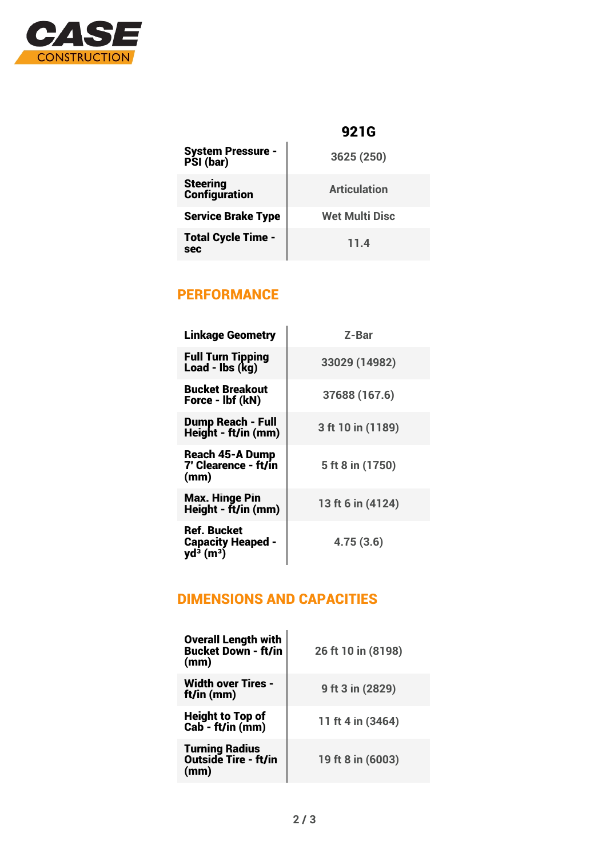

## 921G

| 3625 (250)            |
|-----------------------|
| <b>Articulation</b>   |
| <b>Wet Multi Disc</b> |
| 11.4                  |
|                       |

### **PERFORMANCE**

| <b>Linkage Geometry</b>                                                         | Z-Bar             |
|---------------------------------------------------------------------------------|-------------------|
| <b>Full Turn Tipping</b><br>Load - $\mathsf{Ibs}(\mathsf{kg})$                  | 33029 (14982)     |
| <b>Bucket Breakout</b><br>Force - lbf (kN)                                      | 37688 (167.6)     |
| <b>Dump Reach - Full</b><br>Height - ft/in (mm)                                 | 3 ft 10 in (1189) |
| Reach 45-A Dump<br>7' Clearence - ft/in<br>(mm)                                 | 5 ft 8 in (1750)  |
| <b>Max. Hinge Pin</b><br>Height - ft/in (mm)                                    | 13 ft 6 in (4124) |
| Ref. Bucket<br><b>Capacity Heaped -</b><br>vd $\rm^{\dot 3}$ (m $\rm^{\dot 3})$ | 4.75(3.6)         |

# DIMENSIONS AND CAPACITIES

| <b>Overall Length with<br/>Bucket Down - ft/in</b><br>(mm)   | 26 ft 10 in (8198) |
|--------------------------------------------------------------|--------------------|
| Width over Tires -<br>ft/in (mm)                             | 9 ft 3 in (2829)   |
| <b>Height to Top of</b><br>$Cab - ft/in (mm)$                | 11 ft 4 in (3464)  |
| <b>Turning Radius</b><br><b>Outside Tire - ft/in</b><br>(mm) | 19 ft 8 in (6003)  |